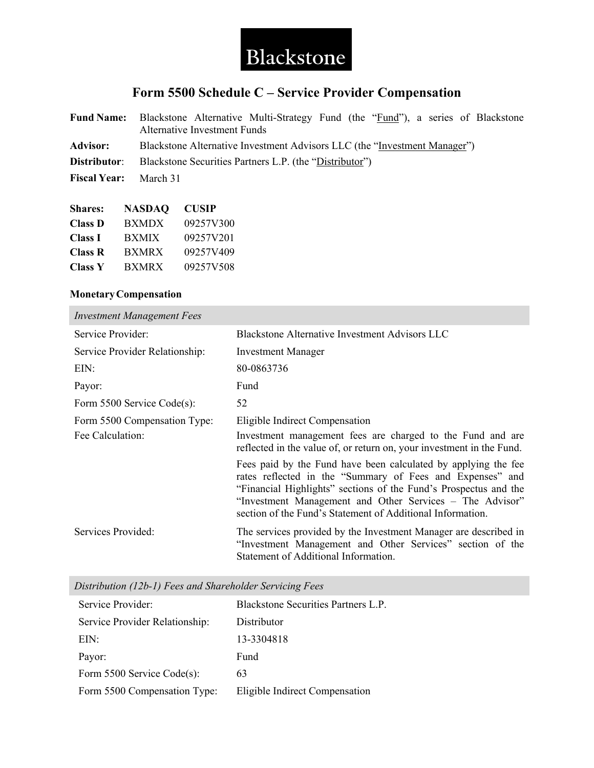

## **Form 5500 Schedule C – Service Provider Compensation**

|                              | <b>Fund Name:</b> Blackstone Alternative Multi-Strategy Fund (the "Fund"), a series of Blackstone<br><b>Alternative Investment Funds</b> |
|------------------------------|------------------------------------------------------------------------------------------------------------------------------------------|
| Advisor:                     | Blackstone Alternative Investment Advisors LLC (the "Investment Manager")                                                                |
|                              | <b>Distributor:</b> Blackstone Securities Partners L.P. (the "Distributor")                                                              |
| <b>Fiscal Year:</b> March 31 |                                                                                                                                          |

| <b>Shares:</b> | NASDAO       | <b>CUSIP</b> |
|----------------|--------------|--------------|
| <b>Class D</b> | <b>BXMDX</b> | 09257V300    |
| <b>Class I</b> | BXMIX        | 09257V201    |
| <b>Class R</b> | <b>BXMRX</b> | 09257V409    |
| <b>Class Y</b> | <b>BXMRX</b> | 09257V508    |

## **MonetaryCompensation**

| <b>Investment Management Fees</b> |                                                                                                                                                                                                                                                                                                                           |
|-----------------------------------|---------------------------------------------------------------------------------------------------------------------------------------------------------------------------------------------------------------------------------------------------------------------------------------------------------------------------|
| Service Provider:                 | <b>Blackstone Alternative Investment Advisors LLC</b>                                                                                                                                                                                                                                                                     |
| Service Provider Relationship:    | <b>Investment Manager</b>                                                                                                                                                                                                                                                                                                 |
| EIN:                              | 80-0863736                                                                                                                                                                                                                                                                                                                |
| Payor:                            | Fund                                                                                                                                                                                                                                                                                                                      |
| Form $5500$ Service Code(s):      | 52                                                                                                                                                                                                                                                                                                                        |
| Form 5500 Compensation Type:      | Eligible Indirect Compensation                                                                                                                                                                                                                                                                                            |
| Fee Calculation:                  | Investment management fees are charged to the Fund and are<br>reflected in the value of, or return on, your investment in the Fund.                                                                                                                                                                                       |
|                                   | Fees paid by the Fund have been calculated by applying the fee<br>rates reflected in the "Summary of Fees and Expenses" and<br>"Financial Highlights" sections of the Fund's Prospectus and the<br>"Investment Management and Other Services – The Advisor"<br>section of the Fund's Statement of Additional Information. |
| Services Provided:                | The services provided by the Investment Manager are described in<br>"Investment Management and Other Services" section of the<br>Statement of Additional Information.                                                                                                                                                     |

|  |  |  | Distribution (12b-1) Fees and Shareholder Servicing Fees |  |  |
|--|--|--|----------------------------------------------------------|--|--|
|--|--|--|----------------------------------------------------------|--|--|

| Service Provider:              | Blackstone Securities Partners L.P. |
|--------------------------------|-------------------------------------|
| Service Provider Relationship: | Distributor                         |
| EIN:                           | 13-3304818                          |
| Payor:                         | Fund                                |
| Form 5500 Service Code(s):     | 63                                  |
| Form 5500 Compensation Type:   | Eligible Indirect Compensation      |